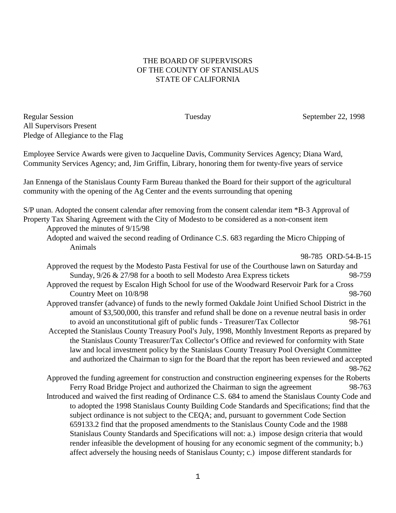## THE BOARD OF SUPERVISORS OF THE COUNTY OF STANISLAUS STATE OF CALIFORNIA

Regular Session Tuesday September 22, 1998 All Supervisors Present Pledge of Allegiance to the Flag

Employee Service Awards were given to Jacqueline Davis, Community Services Agency; Diana Ward, Community Services Agency; and, Jim Griffin, Library, honoring them for twenty-five years of service

Jan Ennenga of the Stanislaus County Farm Bureau thanked the Board for their support of the agricultural community with the opening of the Ag Center and the events surrounding that opening

S/P unan. Adopted the consent calendar after removing from the consent calendar item \*B-3 Approval of Property Tax Sharing Agreement with the City of Modesto to be considered as a non-consent item

Approved the minutes of 9/15/98

Adopted and waived the second reading of Ordinance C.S. 683 regarding the Micro Chipping of Animals

98-785 ORD-54-B-15

- Approved the request by the Modesto Pasta Festival for use of the Courthouse lawn on Saturday and Sunday,  $9/26 \& 27/98$  for a booth to sell Modesto Area Express tickets 98-759
- Approved the request by Escalon High School for use of the Woodward Reservoir Park for a Cross Country Meet on 10/8/98 98-760
- Approved transfer (advance) of funds to the newly formed Oakdale Joint Unified School District in the amount of \$3,500,000, this transfer and refund shall be done on a revenue neutral basis in order to avoid an unconstitutional gift of public funds - Treasurer/Tax Collector 98-761
- Accepted the Stanislaus County Treasury Pool's July, 1998, Monthly Investment Reports as prepared by the Stanislaus County Treasurer/Tax Collector's Office and reviewed for conformity with State law and local investment policy by the Stanislaus County Treasury Pool Oversight Committee and authorized the Chairman to sign for the Board that the report has been reviewed and accepted 98-762
- Approved the funding agreement for construction and construction engineering expenses for the Roberts Ferry Road Bridge Project and authorized the Chairman to sign the agreement 98-763 Introduced and waived the first reading of Ordinance C.S. 684 to amend the Stanislaus County Code and to adopted the 1998 Stanislaus County Building Code Standards and Specifications; find that the subject ordinance is not subject to the CEQA; and, pursuant to government Code Section 659133.2 find that the proposed amendments to the Stanislaus County Code and the 1988 Stanislaus County Standards and Specifications will not: a.) impose design criteria that would render infeasible the development of housing for any economic segment of the community; b.) affect adversely the housing needs of Stanislaus County; c.) impose different standards for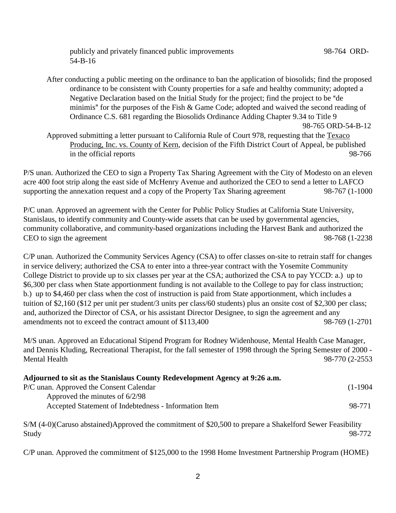publicly and privately financed public improvements 98-764 ORD-54-B-16

After conducting a public meeting on the ordinance to ban the application of biosolids; find the proposed ordinance to be consistent with County properties for a safe and healthy community; adopted a Negative Declaration based on the Initial Study for the project; find the project to be "de" minimis" for the purposes of the Fish  $\&$  Game Code; adopted and waived the second reading of Ordinance C.S. 681 regarding the Biosolids Ordinance Adding Chapter 9.34 to Title 9 98-765 ORD-54-B-12

Approved submitting a letter pursuant to California Rule of Court 978, requesting that the Texaco Producing, Inc. vs. County of Kern, decision of the Fifth District Court of Appeal, be published in the official reports 98-766

P/S unan. Authorized the CEO to sign a Property Tax Sharing Agreement with the City of Modesto on an eleven acre 400 foot strip along the east side of McHenry Avenue and authorized the CEO to send a letter to LAFCO supporting the annexation request and a copy of the Property Tax Sharing agreement 98-767 (1-1000

P/C unan. Approved an agreement with the Center for Public Policy Studies at California State University, Stanislaus, to identify community and County-wide assets that can be used by governmental agencies, community collaborative, and community-based organizations including the Harvest Bank and authorized the CEO to sign the agreement 98-768 (1-2238

C/P unan. Authorized the Community Services Agency (CSA) to offer classes on-site to retrain staff for changes in service delivery; authorized the CSA to enter into a three-year contract with the Yosemite Community College District to provide up to six classes per year at the CSA; authorized the CSA to pay YCCD: a.) up to \$6,300 per class when State apportionment funding is not available to the College to pay for class instruction; b.) up to \$4,460 per class when the cost of instruction is paid from State apportionment, which includes a tuition of \$2,160 (\$12 per unit per student/3 units per class/60 students) plus an onsite cost of \$2,300 per class; and, authorized the Director of CSA, or his assistant Director Designee, to sign the agreement and any amendments not to exceed the contract amount of \$113,400 98-769 (1-2701

M/S unan. Approved an Educational Stipend Program for Rodney Widenhouse, Mental Health Case Manager, and Dennis Kluding, Recreational Therapist, for the fall semester of 1998 through the Spring Semester of 2000 - Mental Health 98-770 (2-2553

## **Adjourned to sit as the Stanislaus County Redevelopment Agency at 9:26 a.m.**

| P/C unan. Approved the Consent Calendar               | $(1-1904)$ |
|-------------------------------------------------------|------------|
| Approved the minutes of $6/2/98$                      |            |
| Accepted Statement of Indebtedness - Information Item | 98-771     |

S/M (4-0)(Caruso abstained)Approved the commitment of \$20,500 to prepare a Shakelford Sewer Feasibility Study 98-772

C/P unan. Approved the commitment of \$125,000 to the 1998 Home Investment Partnership Program (HOME)